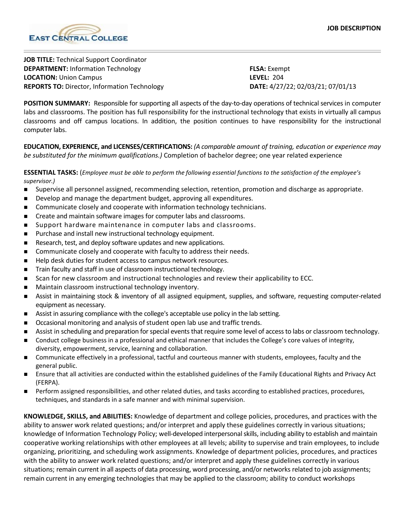

**JOB TITLE:** Technical Support Coordinator **DEPARTMENT:** Information Technology **FLSA:** Exempt **LOCATION:** Union Campus **LEVEL:** 204 **REPORTS TO:** Director, Information Technology **DATE:** 4/27/22; 02/03/21; 07/01/13

**POSITION SUMMARY:** Responsible for supporting all aspects of the day-to-day operations of technical services in computer labs and classrooms. The position has full responsibility for the instructional technology that exists in virtually all campus classrooms and off campus locations. In addition, the position continues to have responsibility for the instructional computer labs.

**EDUCATION, EXPERIENCE, and LICENSES/CERTIFICATIONS:** *(A comparable amount of training, education or experience may be substituted for the minimum qualifications.)* Completion of bachelor degree; one year related experience

**ESSENTIAL TASKS:** (*Employee must be able to perform the following essential functions to the satisfaction of the employee's supervisor.)*

- Supervise all personnel assigned, recommending selection, retention, promotion and discharge as appropriate.
- Develop and manage the department budget, approving all expenditures.
- **EXECOMMUNICATE COSELY AND COOPETATE WITH Information technology technicians.**
- **EXECT** Create and maintain software images for computer labs and classrooms.
- **Support hardware maintenance in computer labs and classrooms.**
- Purchase and install new instructional technology equipment.
- Research, test, and deploy software updates and new applications.
- Communicate closely and cooperate with faculty to address their needs.
- Help desk duties for student access to campus network resources.
- Train faculty and staff in use of classroom instructional technology.
- **Scan for new classroom and instructional technologies and review their applicability to ECC.**
- **Maintain classroom instructional technology inventory.**
- Assist in maintaining stock & inventory of all assigned equipment, supplies, and software, requesting computer-related equipment as necessary.
- Assist in assuring compliance with the college's acceptable use policy in the lab setting.
- Occasional monitoring and analysis of student open lab use and traffic trends.
- Assist in scheduling and preparation for special events that require some level of access to labs or classroom technology.
- Conduct college business in a professional and ethical manner that includes the College's core values of integrity, diversity, empowerment, service, learning and collaboration.
- Communicate effectively in a professional, tactful and courteous manner with students, employees, faculty and the general public.
- Ensure that all activities are conducted within the established guidelines of the Family Educational Rights and Privacy Act (FERPA).
- **Perform assigned responsibilities, and other related duties, and tasks according to established practices, procedures,** techniques, and standards in a safe manner and with minimal supervision.

**KNOWLEDGE, SKILLS, and ABILITIES:** Knowledge of department and college policies, procedures, and practices with the ability to answer work related questions; and/or interpret and apply these guidelines correctly in various situations; knowledge of Information Technology Policy; well-developed interpersonal skills, including ability to establish and maintain cooperative working relationships with other employees at all levels; ability to supervise and train employees, to include organizing, prioritizing, and scheduling work assignments. Knowledge of department policies, procedures, and practices with the ability to answer work related questions; and/or interpret and apply these guidelines correctly in various situations; remain current in all aspects of data processing, word processing, and/or networks related to job assignments; remain current in any emerging technologies that may be applied to the classroom; ability to conduct workshops